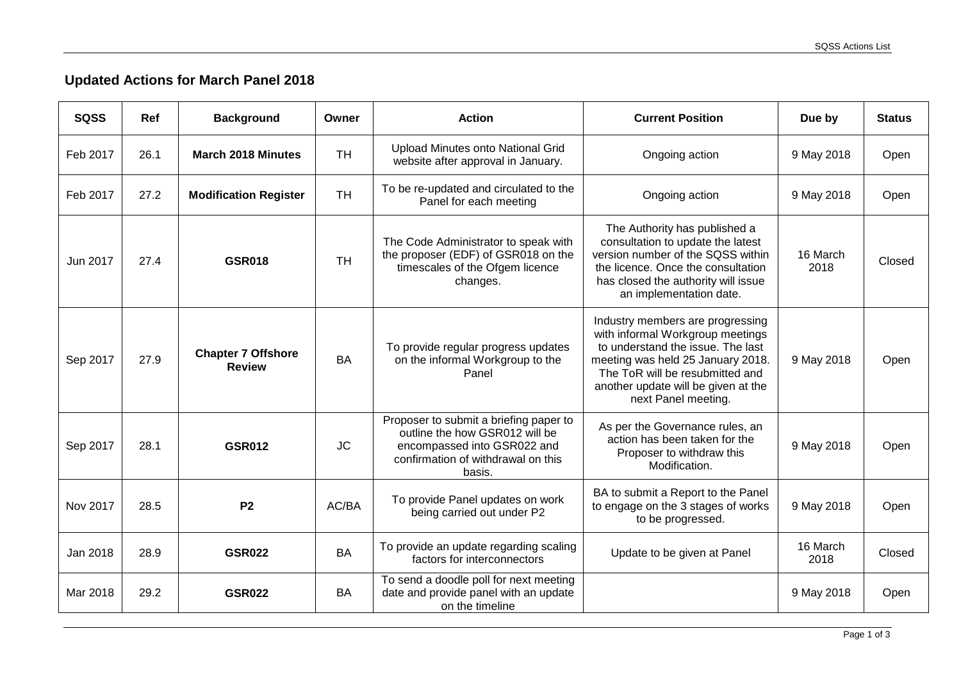## **Updated Actions for March Panel 2018**

| <b>SQSS</b> | Ref  | <b>Background</b>                          | Owner     | <b>Action</b>                                                                                                                                           | <b>Current Position</b>                                                                                                                                                                                                                         | Due by           | <b>Status</b> |
|-------------|------|--------------------------------------------|-----------|---------------------------------------------------------------------------------------------------------------------------------------------------------|-------------------------------------------------------------------------------------------------------------------------------------------------------------------------------------------------------------------------------------------------|------------------|---------------|
| Feb 2017    | 26.1 | <b>March 2018 Minutes</b>                  | <b>TH</b> | Upload Minutes onto National Grid<br>website after approval in January.                                                                                 | Ongoing action                                                                                                                                                                                                                                  | 9 May 2018       | Open          |
| Feb 2017    | 27.2 | <b>Modification Register</b>               | <b>TH</b> | To be re-updated and circulated to the<br>Panel for each meeting                                                                                        | Ongoing action                                                                                                                                                                                                                                  | 9 May 2018       | Open          |
| Jun 2017    | 27.4 | <b>GSR018</b>                              | <b>TH</b> | The Code Administrator to speak with<br>the proposer (EDF) of GSR018 on the<br>timescales of the Ofgem licence<br>changes.                              | The Authority has published a<br>consultation to update the latest<br>version number of the SQSS within<br>the licence. Once the consultation<br>has closed the authority will issue<br>an implementation date.                                 | 16 March<br>2018 | Closed        |
| Sep 2017    | 27.9 | <b>Chapter 7 Offshore</b><br><b>Review</b> | <b>BA</b> | To provide regular progress updates<br>on the informal Workgroup to the<br>Panel                                                                        | Industry members are progressing<br>with informal Workgroup meetings<br>to understand the issue. The last<br>meeting was held 25 January 2018.<br>The ToR will be resubmitted and<br>another update will be given at the<br>next Panel meeting. | 9 May 2018       | Open          |
| Sep 2017    | 28.1 | <b>GSR012</b>                              | <b>JC</b> | Proposer to submit a briefing paper to<br>outline the how GSR012 will be<br>encompassed into GSR022 and<br>confirmation of withdrawal on this<br>basis. | As per the Governance rules, an<br>action has been taken for the<br>Proposer to withdraw this<br>Modification.                                                                                                                                  | 9 May 2018       | Open          |
| Nov 2017    | 28.5 | P <sub>2</sub>                             | AC/BA     | To provide Panel updates on work<br>being carried out under P2                                                                                          | BA to submit a Report to the Panel<br>to engage on the 3 stages of works<br>to be progressed.                                                                                                                                                   | 9 May 2018       | Open          |
| Jan 2018    | 28.9 | <b>GSR022</b>                              | <b>BA</b> | To provide an update regarding scaling<br>factors for interconnectors                                                                                   | Update to be given at Panel                                                                                                                                                                                                                     | 16 March<br>2018 | Closed        |
| Mar 2018    | 29.2 | <b>GSR022</b>                              | BA        | To send a doodle poll for next meeting<br>date and provide panel with an update<br>on the timeline                                                      |                                                                                                                                                                                                                                                 | 9 May 2018       | Open          |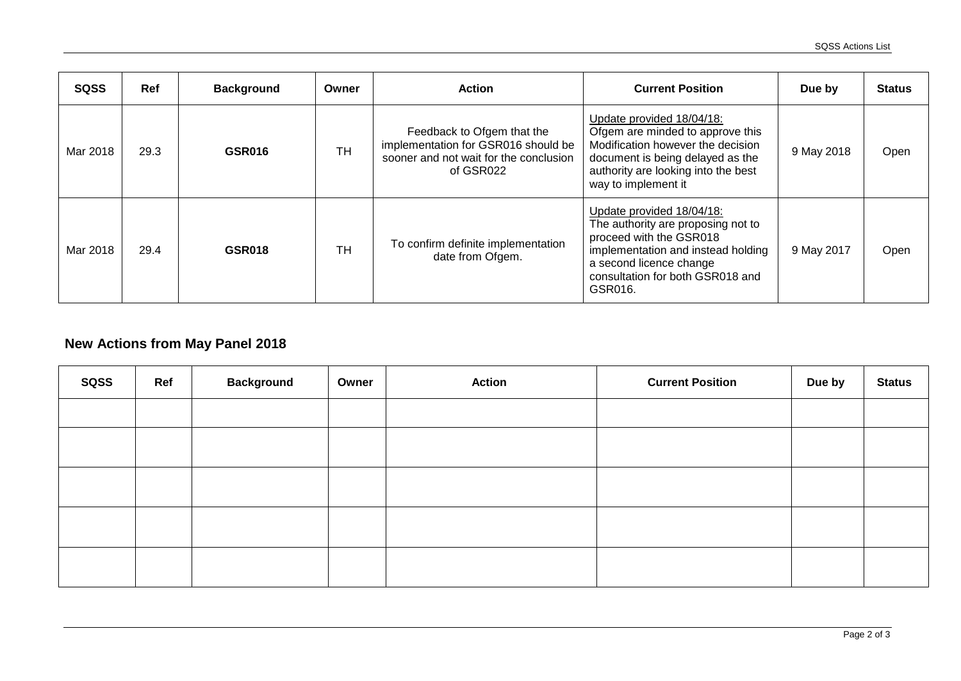| <b>SQSS</b> | <b>Ref</b> | <b>Background</b> | Owner     | Action                                                                                                                   | <b>Current Position</b>                                                                                                                                                                                    | Due by     | <b>Status</b> |
|-------------|------------|-------------------|-----------|--------------------------------------------------------------------------------------------------------------------------|------------------------------------------------------------------------------------------------------------------------------------------------------------------------------------------------------------|------------|---------------|
| Mar 2018    | 29.3       | <b>GSR016</b>     | <b>TH</b> | Feedback to Ofgem that the<br>implementation for GSR016 should be<br>sooner and not wait for the conclusion<br>of GSR022 | Update provided 18/04/18:<br>Ofgem are minded to approve this<br>Modification however the decision<br>document is being delayed as the<br>authority are looking into the best<br>way to implement it       | 9 May 2018 | Open          |
| Mar 2018    | 29.4       | <b>GSR018</b>     | <b>TH</b> | To confirm definite implementation<br>date from Ofgem.                                                                   | Update provided 18/04/18:<br>The authority are proposing not to<br>proceed with the GSR018<br>implementation and instead holding<br>a second licence change<br>consultation for both GSR018 and<br>GSR016. | 9 May 2017 | Open          |

## **New Actions from May Panel 2018**

| <b>SQSS</b> | Ref | <b>Background</b> | Owner | <b>Action</b> | <b>Current Position</b> | Due by | <b>Status</b> |
|-------------|-----|-------------------|-------|---------------|-------------------------|--------|---------------|
|             |     |                   |       |               |                         |        |               |
|             |     |                   |       |               |                         |        |               |
|             |     |                   |       |               |                         |        |               |
|             |     |                   |       |               |                         |        |               |
|             |     |                   |       |               |                         |        |               |